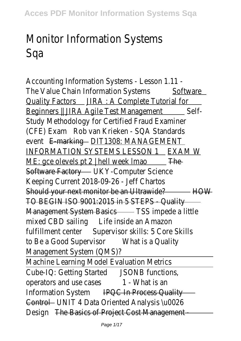## Monitor Information Syste Sqa

Accounting Information Systems - Lesson 1 The Value Chain Information Systems Software Quality Factors JIRA : A Complete Tutorial for Beginners || JIRA Agile Test Management Self-Study Methodology for Certified Fraud Exan (CFE) Exam Rob van Krieken - SQA Standar event E-marking DIT1308: MANAGEME INFORMATION SYSTEMS LESSON 1 EXAM W ME: gce olevels pt  $2 \mid$  hell week Imao The Software Factory UKY-Computer Sciend Keeping Current 2018-09-26 - Jeff Cha Should your next monitor be an Ultrawide? HOW TO BEGIN ISO 9001:2015 in 5 STEPS - Qua Management System Basics TSS impede a little mixed CBD sailing Life inside an Amazon fulfillment center Supervisor skills: 5 Core Sk to Be a Good Supervisor What is a Qualit Management System (QMS) Machine Learning Model Evaluation Met Cube-IQ: Getting Started JSONB function operators and use cases 1 - What is a Information System IPQC In Process Quality Control UNIT 4 Data Oriented Analysis \u00 Design The Basics of Project Cost Managem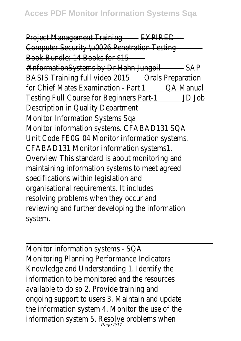Project Management Training EXPIRED Computer Security \u0026 Penetration Test Book Bundle: 14 Books for \$15 #InformationSystems by Dr Hahn Jungpil SAP BASIS Training full video 2015 Orals Preparation for Chief Mates Examination - Part 10A Manual Testing Full Course for Beginners Part-1 JD Job Description in Quality Departme Monitor Information Systems Sq Monitor information systems. CFABAD131 Unit Code FEOG 04 Monitor information syst CFABAD131 Monitor information system Overview This standard is about monitoring maintaining information systems to meet age specifications within legislation a organisational requirements. It include resolving problems when they occur reviewing and further developing the information system

Monitor information systems - S Monitoring Planning Performance Indicat Knowledge and Understanding 1. Identify information to be monitored and the resour available to do so 2. Provide training ongoing support to users 3. Maintain and up the information system 4. Monitor the use of information system 5. Resolve problems w<br>Page 2/17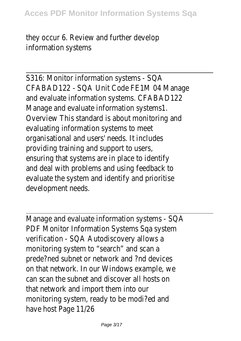they occur 6. Review and further deve information system

S316: Monitor information systems -CFABAD122 - SQA Unit Code FE1M 04 Ma and evaluate information systems. CFABAD Manage and evaluate information systen Overview This standard is about monitoring evaluating information systems to meorganisational and users' needs. It inclue providing training and support to use ensuring that systems are in place to ider and deal with problems and using feedback evaluate the system and identify and prior development need:

Manage and evaluate information systems -PDF Monitor Information Systems Sqa systems verification - SQA Autodiscovery allow monitoring system to "search" and scan prede?ned subnet or network and ?nd dev on that network. In our Windows example can scan the subnet and discover all hosts that network and import them into monitoring system, ready to be modi?ed have host Page 11/2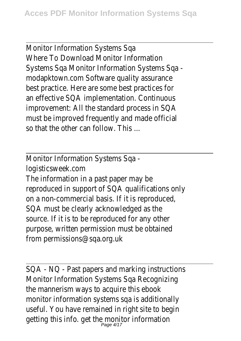Monitor Information Systems Sq Where To Download Monitor Information Systems Sqa Monitor Information Systems S modapktown.com Software quality assura best practice. Here are some best practices an effective SQA implementation. Continu improvement: All the standard process in must be improved frequently and made off so that the other can follow. This

Monitor Information Systems Sq logisticsweek.cor

The information in a past paper may reproduced in support of SQA qualifications on a non-commercial basis. If it is reproduction SQA must be clearly acknowledged as source. If it is to be reproduced for any o purpose, written permission must be obta from permissions@sqa.org.uk

SQA - NQ - Past papers and marking instructions. Monitor Information Systems Sqa Recogni the mannerism ways to acquire this eb monitor information systems sqa is addition useful. You have remained in right site to b getting this info. get the monitor informa<br>Page 4/17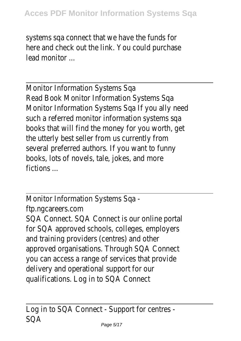systems sqa connect that we have the fund here and check out the link. You could purch lead monitor.

Monitor Information Systems S Read Book Monitor Information Systems Monitor Information Systems Sqa If you ally needsuch a referred monitor information systems books that will find the money for you worth the utterly best seller from us currently several preferred authors. If you want to f books, lots of novels, tale, jokes, and m fictions ...

Monitor Information Systems Sq ftp.ngcareers.com SQA Connect. SQA Connect is our online portal for SQA approved schools, colleges, employ and training providers (centres) and ot approved organisations. Through SQA Conr you can access a range of services that pro delivery and operational support for qualifications. Log in to SQA Conn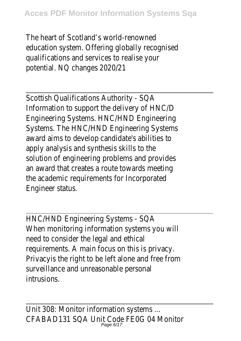The heart of Scotland's world-renown education system. Offering globally recogni qualifications and services to realise your potential. NQ changes 2020/

Scottish Qualifications Authority - S Information to support the delivery of HN Engineering Systems. HNC/HND Engineer Systems. The HNC/HND Engineering Systems. award aims to develop candidate's abilities apply analysis and synthesis skills to solution of engineering problems and provi an award that creates a route towards meet the academic requirements for Incorporation Engineer status

HNC/HND Engineering Systems - S When monitoring information systems you need to consider the legal and eth requirements. A main focus on this is priva-Privacy is the right to be left alone and free surveillance and unreasonable persor intrusions.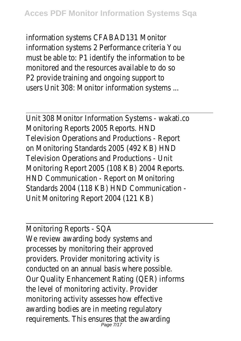information systems CFABAD131 Mor information systems 2 Performance criteria must be able to: P1 identify the information to monitored and the resources available to do P2 provide training and ongoing suppor users Unit 308: Monitor information syster

Unit 308 Monitor Information Systems - waka Monitoring Reports 2005 Reports. Television Operations and Productions - Re on Monitoring Standards 2005 (492 KB) Television Operations and Productions -Monitoring Report 2005 (108 KB) 2004 Rep HND Communication - Report on Monitor Standards 2004 (118 KB) HND Communication Unit Monitoring Report 2004 (121)

Monitoring Reports - S We review awarding body systems a processes by monitoring their approved providers. Provider monitoring activit conducted on an annual basis where possi-Our Quality Enhancement Rating (QER) inform the level of monitoring activity. Provider monitoring activity assesses how effective awarding bodies are in meeting regulat requirements. This ensures that the awar<br>Page 7/17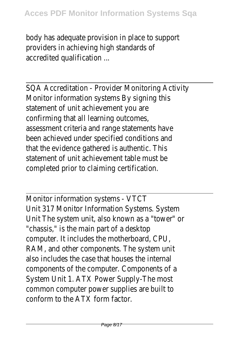body has adequate provision in place to support providers in achieving high standards accredited qualification

SQA Accreditation - Provider Monitoring Act Monitor information systems By signing statement of unit achievement you confirming that all learning outcom assessment criteria and range statements have been achieved under specified conditions that the evidence gathered is authentic. statement of unit achievement table must completed prior to claiming certificat

Monitor information systems - V Unit 317 Monitor Information Systems. System Unit The system unit, also known as a "towe "chassis," is the main part of a desk computer. It includes the motherboard, C RAM, and other components. The system also includes the case that houses the intercomponents of the computer. Components System Unit 1. ATX Power Supply-The r common computer power supplies are buil conform to the ATX form factor.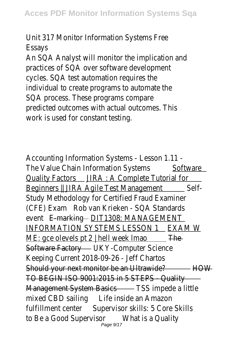Unit 317 Monitor Information Systems Essays

An SQA Analyst will monitor the implication practices of SQA over software developr cycles. SQA test automation requires individual to create programs to automate SQA process. These programs comp predicted outcomes with actual outcomes. work is used for constant test

Accounting Information Systems - Lesson 1 The Value Chain Information Systems Software Quality Factors JIRA : A Complete Tutorial for Beginners || JIRA Agile Test Management Self-Study Methodology for Certified Fraud Exan (CFE) Exam Rob van Krieken - SQA Standar event E-marking DIT1308: MANAGEME INFORMATION SYSTEMS LESSON 1 EXAM W ME: gce olevels pt  $2 \mid$  hell week Imao The Software Factory UKY-Computer Sciend Keeping Current 2018-09-26 - Jeff Cha Should your next monitor be an Ultrawide? HOW TO BEGIN ISO 9001:2015 in 5 STEPS - Quality Management System Basics TSS impede a litt mixed CBD sailing Life inside an Amazon fulfillment center Supervisor skills: 5 Core Ski to Be a Good Supervisor What is a Qualit<br>Page 9/17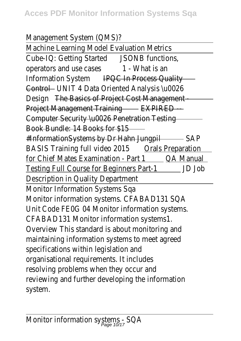Management System (QMS)

Machine Learning Model Evaluation Met Cube-IQ: Getting StartedJSONB function operators and use cases 1 - What is an Information System IPQC In Process Quality Control UNIT 4 Data Oriented Analysis \u00 Design The Basics of Project Cost Management Project Management Training EXPIRED Computer Security \u0026 Penetration Testi Book Bundle: 14 Books for \$15 #InformationSystems by Dr Hahn Jungpil SAP BASIS Training full video 2015 Orals Preparation for Chief Mates Examination - Part 10A Manual Testing Full Course for Beginners Part-1 JD Job Description in Quality Departme Monitor Information Systems Sq Monitor information systems. CFABAD131 Unit Code FEOG 04 Monitor information systems. CFABAD131 Monitor information system Overview This standard is about monitoring maintaining information systems to meet age specifications within legislation a organisational requirements. It includ resolving problems when they occur a reviewing and further developing the information system.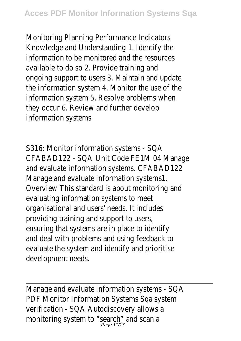Monitoring Planning Performance Indicat Knowledge and Understanding 1. Identify information to be monitored and the resour available to do so 2. Provide training ongoing support to users 3. Maintain and up the information system 4. Monitor the use of information system 5. Resolve problems w they occur 6. Review and further deve information system

S316: Monitor information systems -CFABAD122 - SQA Unit Code FE1M 04 Ma and evaluate information systems. CFABAD Manage and evaluate information systen Overview This standard is about monitoring evaluating information systems to m organisational and users' needs. It inclue providing training and support to use ensuring that systems are in place to ider and deal with problems and using feedback evaluate the system and identify and prior development needs

Manage and evaluate information systems -PDF Monitor Information Systems Sqa sys verification - SQA Autodiscovery allow monitoring system to "search" and scan and search" and search flow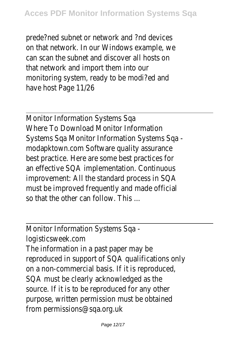prede?ned subnet or network and ?nd dev on that network. In our Windows example can scan the subnet and discover all hosts that network and import them into monitoring system, ready to be modi?ed have host Page 11/2

Monitor Information Systems S Where To Download Monitor Information Systems Sqa Monitor Information Systems S modapktown.com Software quality assura best practice. Here are some best practices an effective SQA implementation. Continu improvement: All the standard process in must be improved frequently and made off so that the other can follow. This

Monitor Information Systems Sq

logisticsweek.cor

The information in a past paper may reproduced in support of SQA qualifications on a non-commercial basis. If it is reprodue SQA must be clearly acknowledged as source. If it is to be reproduced for any c purpose, written permission must be obtained from permissions@sqa.org.uk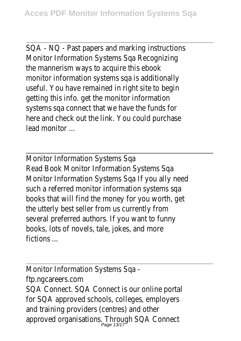SQA - NQ - Past papers and marking instruct Monitor Information Systems Sqa Recogni the mannerism ways to acquire this eb monitor information systems sqa is addition useful. You have remained in right site to b getting this info. get the monitor information systems sqa connect that we have the fund here and check out the link. You could purch lead monitor ...

Monitor Information Systems S Read Book Monitor Information Systems Monitor Information Systems Sqa If you ally needsuch a referred monitor information systems books that will find the money for you worth the utterly best seller from us currently several preferred authors. If you want to f books, lots of novels, tale, jokes, and m fictions ...

Monitor Information Systems Sq ftp.ngcareers.com SQA Connect. SQA Connect is our online portal for SQA approved schools, colleges, employ and training providers (centres) and ot approved organisations. Through SQA Conr<br>Page 13/17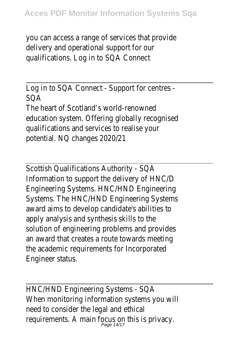you can access a range of services that pro delivery and operational support for qualifications. Log in to SQA Conn

Log in to SQA Connect - Support for cent SQA

The heart of Scotland's world-renown education system. Offering globally recogni qualifications and services to realise your potential. NQ changes 2020/

Scottish Qualifications Authority - S Information to support the delivery of HN Engineering Systems. HNC/HND Enaineer Systems. The HNC/HND Engineering Syste award aims to develop candidate's abilities apply analysis and synthesis skills to solution of engineering problems and provi an award that creates a route towards meet the academic requirements for Incorporation Engineer status

HNC/HND Engineering Systems - S When monitoring information systems you need to consider the legal and eth requirements. A main focus on this is priv<br>reguirements. A main focus on this is priv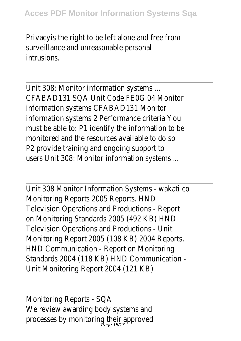Privacy is the right to be left alone and free surveillance and unreasonable person intrusions.

Unit 308: Monitor information system CFABAD131 SOA Unit Code FFOG 04 Mo information systems CFABAD131 Mor information systems 2 Performance criteria must be able to: P1 identify the information monitored and the resources available to de P2 provide training and ongoing suppor users Unit 308: Monitor information syster

Unit 308 Monitor Information Systems - wakati Monitoring Reports 2005 Reports. Television Operations and Productions - Re on Monitoring Standards 2005 (492 KB) Television Operations and Productions -Monitoring Report 2005 (108 KB) 2004 Rep HND Communication - Report on Monitor Standards 2004 (118 KB) HND Communication Unit Monitoring Report 2004 (121

Monitoring Reports - S We review awarding body systems  $a$ processes by monitoring their appro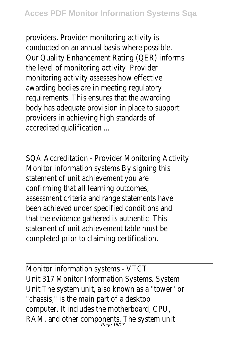providers. Provider monitoring activit conducted on an annual basis where possed Our Quality Enhancement Rating (QER) info the level of monitoring activity. Prov monitoring activity assesses how effect awarding bodies are in meeting regulat requirements. This ensures that the award body has adequate provision in place to support providers in achieving high standards accredited qualification

SQA Accreditation - Provider Monitoring Act Monitor information systems By signing statement of unit achievement you confirming that all learning outcom assessment criteria and range statements have been achieved under specified conditions and that the evidence gathered is authentic. statement of unit achievement table mus completed prior to claiming certificat

Monitor information systems - V Unit 317 Monitor Information Systems. System Unit The system unit, also known as a "towe "chassis," is the main part of a desk computer. It includes the motherboard, C RAM, and other components. The system  $P_{\text{age 16/17}}$